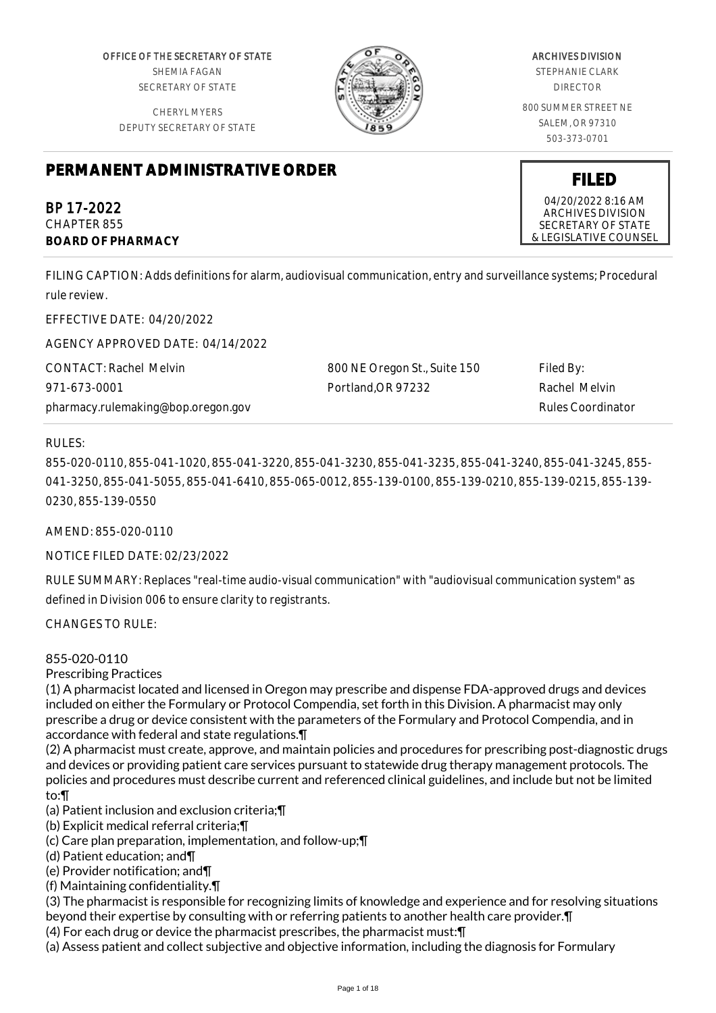OFFICE OF THE SECRETARY OF STATE SHEMIA FAGAN SECRETARY OF STATE

CHERYL MYERS DEPUTY SECRETARY OF STATE



## ARCHIVES DIVISION

STEPHANIE CLARK DIRECTOR

800 SUMMER STREET NE SALEM, OR 97310 503-373-0701

# **PERMANENT ADMINISTRATIVE ORDER**

BP 17-2022 CHAPTER 855 **BOARD OF PHARMACY**

FILING CAPTION: Adds definitions for alarm, audiovisual communication, entry and surveillance systems; Procedural rule review.

EFFECTIVE DATE: 04/20/2022

AGENCY APPROVED DATE: 04/14/2022

CONTACT: Rachel Melvin 971-673-0001 pharmacy.rulemaking@bop.oregon.gov 800 NE Oregon St., Suite 150 Portland,OR 97232 Filed By: Rachel Melvin Rules Coordinator

RULES:

855-020-0110, 855-041-1020, 855-041-3220, 855-041-3230, 855-041-3235, 855-041-3240, 855-041-3245, 855- 041-3250, 855-041-5055, 855-041-6410, 855-065-0012, 855-139-0100, 855-139-0210, 855-139-0215, 855-139- 0230, 855-139-0550

AMEND: 855-020-0110

NOTICE FILED DATE: 02/23/2022

RULE SUMMARY: Replaces "real-time audio-visual communication" with "audiovisual communication system" as defined in Division 006 to ensure clarity to registrants.

CHANGES TO RULE:

855-020-0110

Prescribing Practices

(1) A pharmacist located and licensed in Oregon may prescribe and dispense FDA-approved drugs and devices included on either the Formulary or Protocol Compendia, set forth in this Division. A pharmacist may only prescribe a drug or device consistent with the parameters of the Formulary and Protocol Compendia, and in accordance with federal and state regulations.¶

(2) A pharmacist must create, approve, and maintain policies and procedures for prescribing post-diagnostic drugs and devices or providing patient care services pursuant to statewide drug therapy management protocols. The policies and procedures must describe current and referenced clinical guidelines, and include but not be limited to:¶

(a) Patient inclusion and exclusion criteria;¶

(b) Explicit medical referral criteria;¶

(c) Care plan preparation, implementation, and follow-up;¶

(d) Patient education; and¶

(e) Provider notification; and¶

(f) Maintaining confidentiality.¶

(3) The pharmacist is responsible for recognizing limits of knowledge and experience and for resolving situations beyond their expertise by consulting with or referring patients to another health care provider.¶

(4) For each drug or device the pharmacist prescribes, the pharmacist must:¶

(a) Assess patient and collect subjective and objective information, including the diagnosis for Formulary

04/20/2022 8:16 AM ARCHIVES DIVISION SECRETARY OF STATE & LEGISLATIVE COUNSEL

**FILED**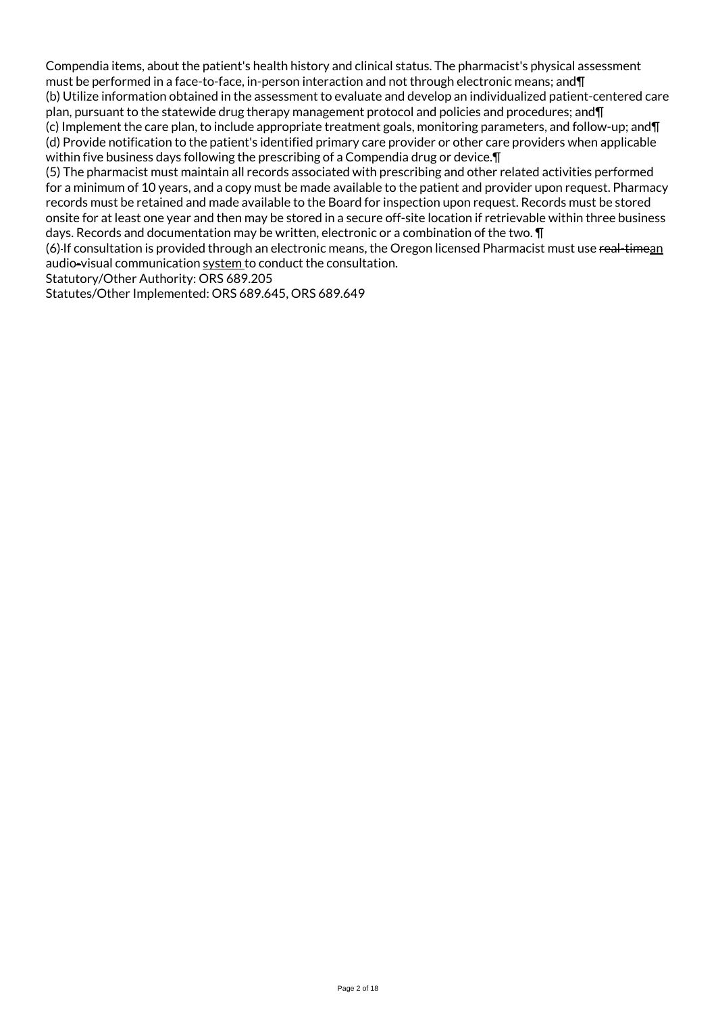Compendia items, about the patient's health history and clinical status. The pharmacist's physical assessment must be performed in a face-to-face, in-person interaction and not through electronic means; and¶

(b) Utilize information obtained in the assessment to evaluate and develop an individualized patient-centered care plan, pursuant to the statewide drug therapy management protocol and policies and procedures; and¶

(c) Implement the care plan, to include appropriate treatment goals, monitoring parameters, and follow-up; and¶ (d) Provide notification to the patient's identified primary care provider or other care providers when applicable within five business days following the prescribing of a Compendia drug or device.¶

(5) The pharmacist must maintain all records associated with prescribing and other related activities performed for a minimum of 10 years, and a copy must be made available to the patient and provider upon request. Pharmacy records must be retained and made available to the Board for inspection upon request. Records must be stored onsite for at least one year and then may be stored in a secure off-site location if retrievable within three business days. Records and documentation may be written, electronic or a combination of the two. ¶

(6)-If consultation is provided through an electronic means, the Oregon licensed Pharmacist must use real-timean audio-visual communication system to conduct the consultation.

Statutory/Other Authority: ORS 689.205

Statutes/Other Implemented: ORS 689.645, ORS 689.649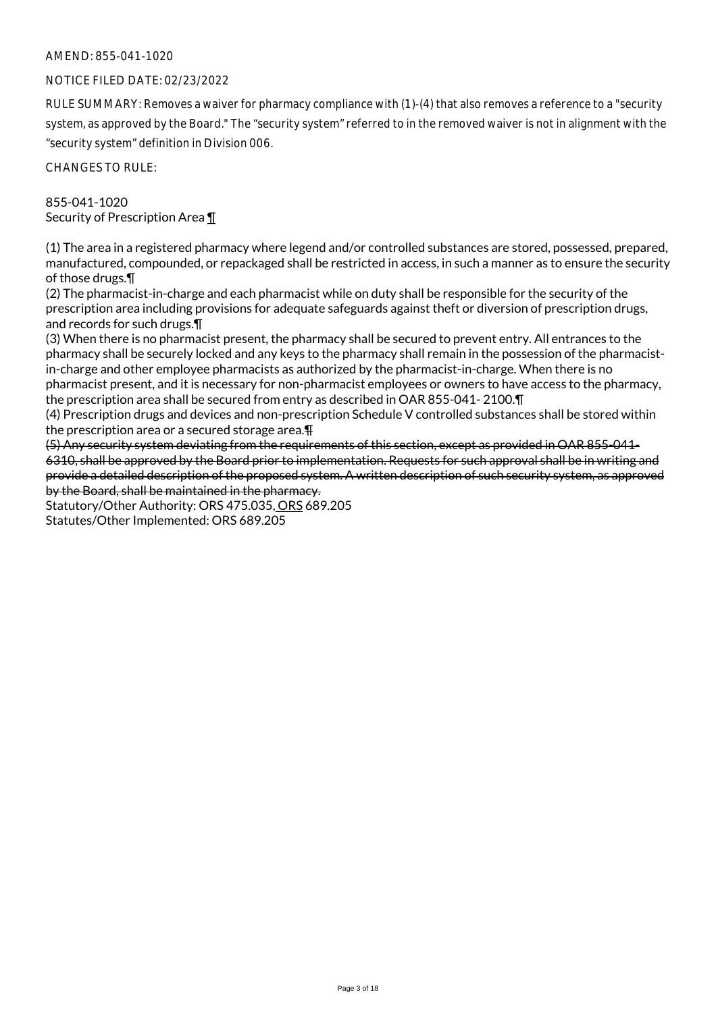## NOTICE FILED DATE: 02/23/2022

RULE SUMMARY: Removes a waiver for pharmacy compliance with (1)-(4) that also removes a reference to a "security system, as approved by the Board." The "security system" referred to in the removed waiver is not in alignment with the "security system" definition in Division 006.

CHANGES TO RULE:

855-041-1020 Security of Prescription Area ¶

(1) The area in a registered pharmacy where legend and/or controlled substances are stored, possessed, prepared, manufactured, compounded, or repackaged shall be restricted in access, in such a manner as to ensure the security of those drugs.¶

(2) The pharmacist-in-charge and each pharmacist while on duty shall be responsible for the security of the prescription area including provisions for adequate safeguards against theft or diversion of prescription drugs, and records for such drugs.¶

(3) When there is no pharmacist present, the pharmacy shall be secured to prevent entry. All entrances to the pharmacy shall be securely locked and any keys to the pharmacy shall remain in the possession of the pharmacistin-charge and other employee pharmacists as authorized by the pharmacist-in-charge. When there is no pharmacist present, and it is necessary for non-pharmacist employees or owners to have access to the pharmacy, the prescription area shall be secured from entry as described in OAR 855-041- 2100.¶

(4) Prescription drugs and devices and non-prescription Schedule V controlled substances shall be stored within the prescription area or a secured storage area.¶

(5) Any security system deviating from the requirements of this section, except as provided in OAR 855-041- 6310, shall be approved by the Board prior to implementation. Requests for such approval shall be in writing and provide a detailed description of the proposed system. A written description of such security system, as approved by the Board, shall be maintained in the pharmacy.

Statutory/Other Authority: ORS 475.035, ORS 689.205 Statutes/Other Implemented: ORS 689.205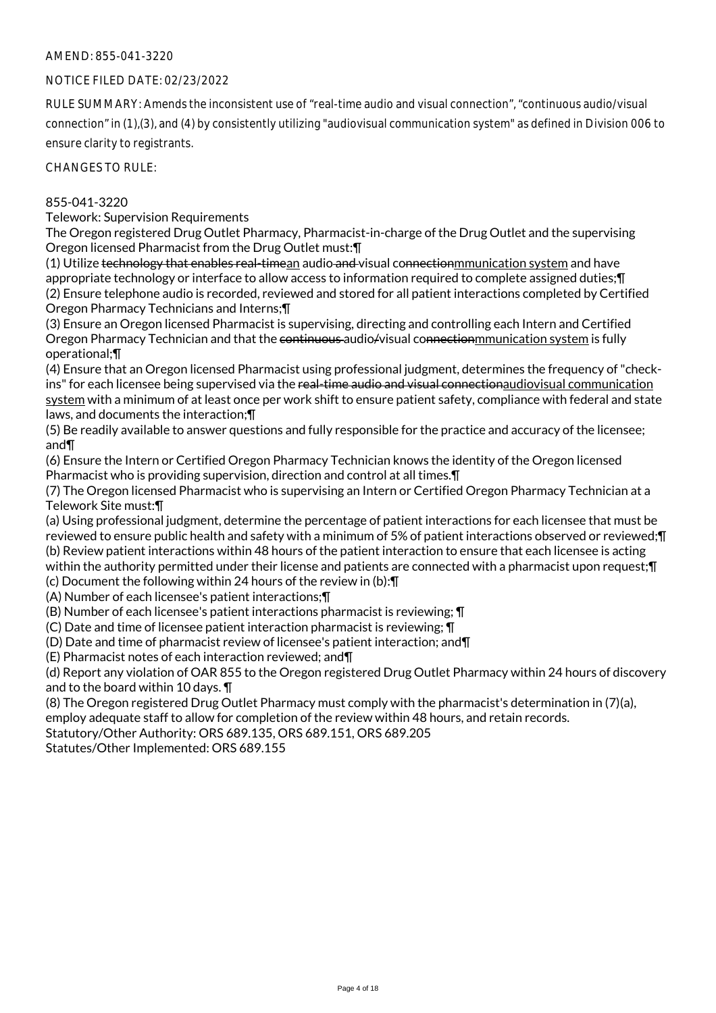## NOTICE FILED DATE: 02/23/2022

RULE SUMMARY: Amends the inconsistent use of "real-time audio and visual connection", "continuous audio/visual connection" in (1),(3), and (4) by consistently utilizing "audiovisual communication system" as defined in Division 006 to ensure clarity to registrants.

CHANGES TO RULE:

## 855-041-3220

Telework: Supervision Requirements

The Oregon registered Drug Outlet Pharmacy, Pharmacist-in-charge of the Drug Outlet and the supervising Oregon licensed Pharmacist from the Drug Outlet must:¶

(1) Utilize technology that enables real-timean audio and visual connectionmmunication system and have appropriate technology or interface to allow access to information required to complete assigned duties;¶ (2) Ensure telephone audio is recorded, reviewed and stored for all patient interactions completed by Certified Oregon Pharmacy Technicians and Interns;¶

(3) Ensure an Oregon licensed Pharmacist is supervising, directing and controlling each Intern and Certified Oregon Pharmacy Technician and that the continuous audio/visual connectionmmunication system is fully operational;¶

(4) Ensure that an Oregon licensed Pharmacist using professional judgment, determines the frequency of "checkins" for each licensee being supervised via the real-time audio and visual connectionaudiovisual communication system with a minimum of at least once per work shift to ensure patient safety, compliance with federal and state laws, and documents the interaction;¶

(5) Be readily available to answer questions and fully responsible for the practice and accuracy of the licensee; and¶

(6) Ensure the Intern or Certified Oregon Pharmacy Technician knows the identity of the Oregon licensed Pharmacist who is providing supervision, direction and control at all times.¶

(7) The Oregon licensed Pharmacist who is supervising an Intern or Certified Oregon Pharmacy Technician at a Telework Site must:¶

(a) Using professional judgment, determine the percentage of patient interactions for each licensee that must be reviewed to ensure public health and safety with a minimum of 5% of patient interactions observed or reviewed;¶ (b) Review patient interactions within 48 hours of the patient interaction to ensure that each licensee is acting within the authority permitted under their license and patients are connected with a pharmacist upon request;¶

(c) Document the following within 24 hours of the review in (b):¶

(A) Number of each licensee's patient interactions;¶

(B) Number of each licensee's patient interactions pharmacist is reviewing; ¶

(C) Date and time of licensee patient interaction pharmacist is reviewing; ¶

(D) Date and time of pharmacist review of licensee's patient interaction; and¶

(E) Pharmacist notes of each interaction reviewed; and¶

(d) Report any violation of OAR 855 to the Oregon registered Drug Outlet Pharmacy within 24 hours of discovery and to the board within 10 days. ¶

(8) The Oregon registered Drug Outlet Pharmacy must comply with the pharmacist's determination in (7)(a),

employ adequate staff to allow for completion of the review within 48 hours, and retain records.

Statutory/Other Authority: ORS 689.135, ORS 689.151, ORS 689.205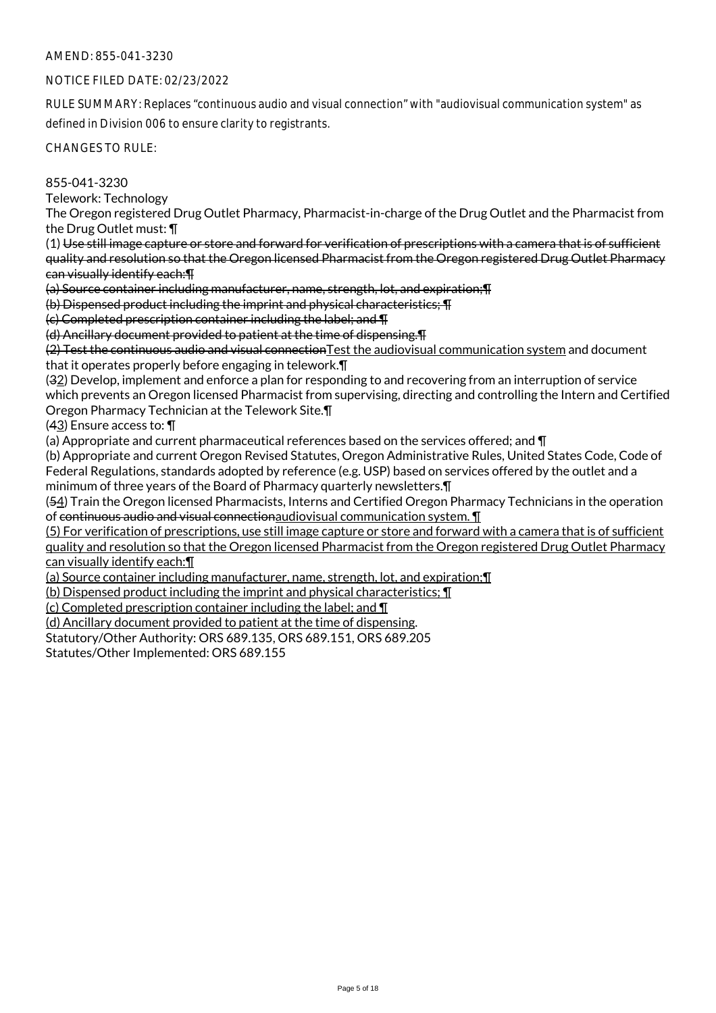## NOTICE FILED DATE: 02/23/2022

RULE SUMMARY: Replaces "continuous audio and visual connection" with "audiovisual communication system" as defined in Division 006 to ensure clarity to registrants.

CHANGES TO RULE:

855-041-3230

Telework: Technology

The Oregon registered Drug Outlet Pharmacy, Pharmacist-in-charge of the Drug Outlet and the Pharmacist from the Drug Outlet must: ¶

(1) Use still image capture or store and forward for verification of prescriptions with a camera that is of sufficient quality and resolution so that the Oregon licensed Pharmacist from the Oregon registered Drug Outlet Pharmacy can visually identify each:¶

(a) Source container including manufacturer, name, strength, lot, and expiration;¶

(b) Dispensed product including the imprint and physical characteristics; ¶

(c) Completed prescription container including the label; and ¶

(d) Ancillary document provided to patient at the time of dispensing.¶

(2) Test the continuous audio and visual connectionTest the audiovisual communication system and document that it operates properly before engaging in telework.¶

(32) Develop, implement and enforce a plan for responding to and recovering from an interruption of service which prevents an Oregon licensed Pharmacist from supervising, directing and controlling the Intern and Certified Oregon Pharmacy Technician at the Telework Site.¶

(43) Ensure access to: ¶

(a) Appropriate and current pharmaceutical references based on the services offered; and ¶

(b) Appropriate and current Oregon Revised Statutes, Oregon Administrative Rules, United States Code, Code of Federal Regulations, standards adopted by reference (e.g. USP) based on services offered by the outlet and a minimum of three years of the Board of Pharmacy quarterly newsletters.¶

(54) Train the Oregon licensed Pharmacists, Interns and Certified Oregon Pharmacy Technicians in the operation of continuous audio and visual connectionaudiovisual communication system. ¶

(5) For verification of prescriptions, use still image capture or store and forward with a camera that is of sufficient quality and resolution so that the Oregon licensed Pharmacist from the Oregon registered Drug Outlet Pharmacy can visually identify each:¶

(a) Source container including manufacturer, name, strength, lot, and expiration;¶

(b) Dispensed product including the imprint and physical characteristics; ¶

(c) Completed prescription container including the label; and ¶

(d) Ancillary document provided to patient at the time of dispensing.

Statutory/Other Authority: ORS 689.135, ORS 689.151, ORS 689.205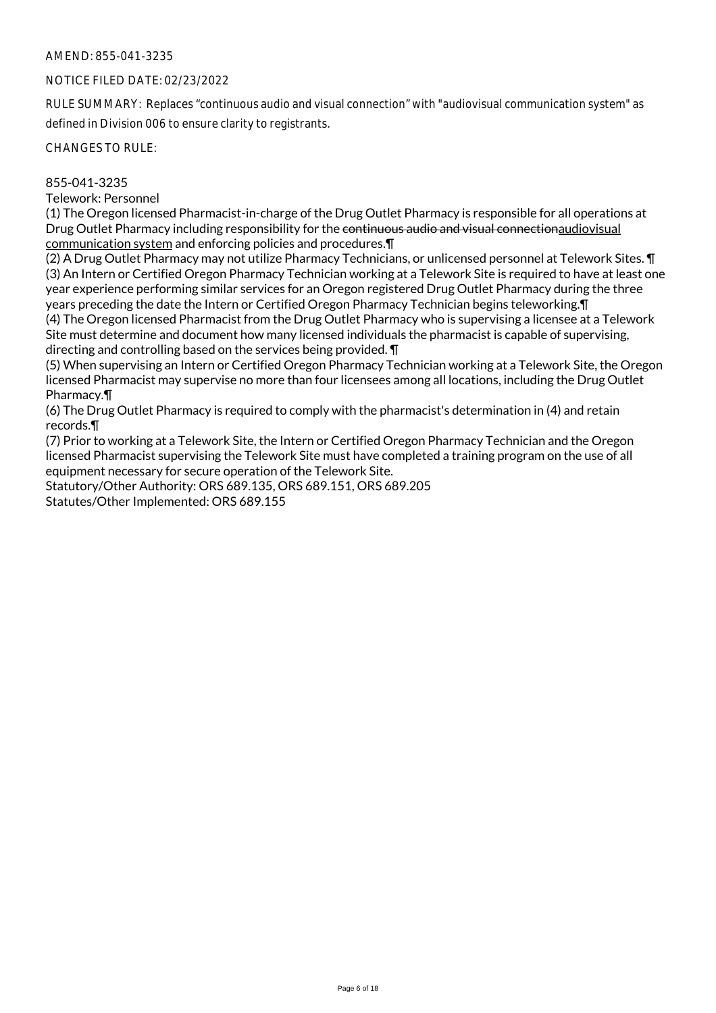#### NOTICE FILED DATE: 02/23/2022

RULE SUMMARY: Replaces "continuous audio and visual connection" with "audiovisual communication system" as defined in Division 006 to ensure clarity to registrants.

CHANGES TO RULE:

## 855-041-3235

Telework: Personnel

(1) The Oregon licensed Pharmacist-in-charge of the Drug Outlet Pharmacy is responsible for all operations at Drug Outlet Pharmacy including responsibility for the continuous audio and visual connectionaudiovisual communication system and enforcing policies and procedures.¶

(2) A Drug Outlet Pharmacy may not utilize Pharmacy Technicians, or unlicensed personnel at Telework Sites. ¶ (3) An Intern or Certified Oregon Pharmacy Technician working at a Telework Site is required to have at least one year experience performing similar services for an Oregon registered Drug Outlet Pharmacy during the three years preceding the date the Intern or Certified Oregon Pharmacy Technician begins teleworking.¶ (4) The Oregon licensed Pharmacist from the Drug Outlet Pharmacy who is supervising a licensee at a Telework Site must determine and document how many licensed individuals the pharmacist is capable of supervising, directing and controlling based on the services being provided. ¶

(5) When supervising an Intern or Certified Oregon Pharmacy Technician working at a Telework Site, the Oregon licensed Pharmacist may supervise no more than four licensees among all locations, including the Drug Outlet Pharmacy.¶

(6) The Drug Outlet Pharmacy is required to comply with the pharmacist's determination in (4) and retain records.¶

(7) Prior to working at a Telework Site, the Intern or Certified Oregon Pharmacy Technician and the Oregon licensed Pharmacist supervising the Telework Site must have completed a training program on the use of all equipment necessary for secure operation of the Telework Site.

Statutory/Other Authority: ORS 689.135, ORS 689.151, ORS 689.205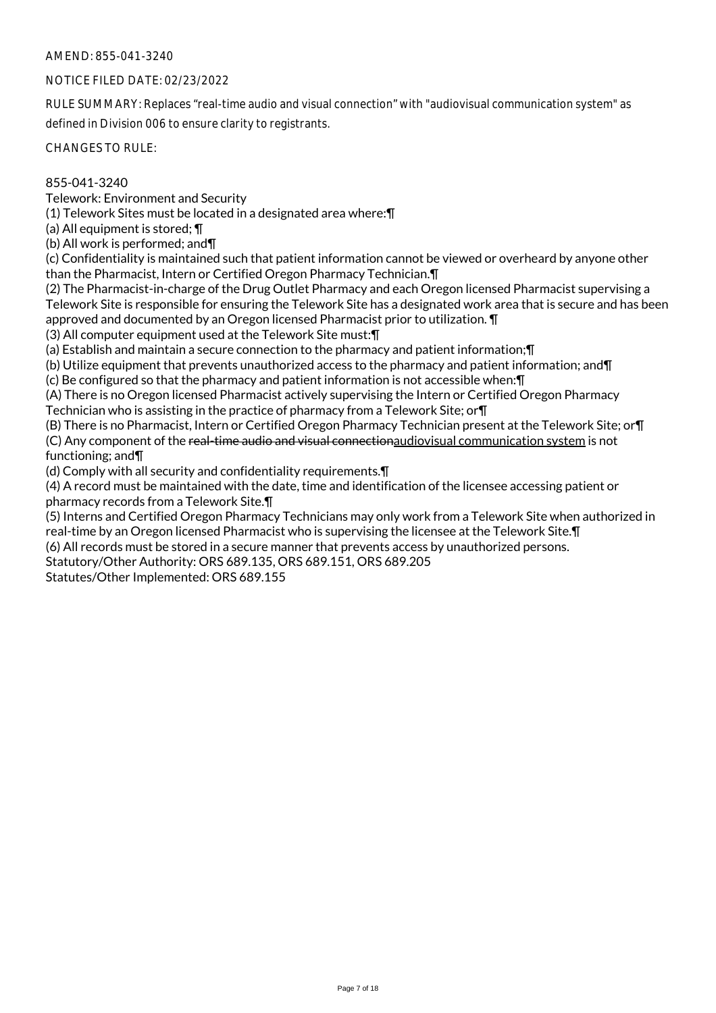## NOTICE FILED DATE: 02/23/2022

RULE SUMMARY: Replaces "real-time audio and visual connection" with "audiovisual communication system" as defined in Division 006 to ensure clarity to registrants.

CHANGES TO RULE:

## 855-041-3240

Telework: Environment and Security

(1) Telework Sites must be located in a designated area where:¶

(a) All equipment is stored; ¶

(b) All work is performed; and¶

(c) Confidentiality is maintained such that patient information cannot be viewed or overheard by anyone other than the Pharmacist, Intern or Certified Oregon Pharmacy Technician.¶

(2) The Pharmacist-in-charge of the Drug Outlet Pharmacy and each Oregon licensed Pharmacist supervising a Telework Site is responsible for ensuring the Telework Site has a designated work area that is secure and has been approved and documented by an Oregon licensed Pharmacist prior to utilization. ¶

(3) All computer equipment used at the Telework Site must:¶

(a) Establish and maintain a secure connection to the pharmacy and patient information;¶

(b) Utilize equipment that prevents unauthorized access to the pharmacy and patient information; and¶

(c) Be configured so that the pharmacy and patient information is not accessible when:¶

(A) There is no Oregon licensed Pharmacist actively supervising the Intern or Certified Oregon Pharmacy Technician who is assisting in the practice of pharmacy from a Telework Site; or¶

(B) There is no Pharmacist, Intern or Certified Oregon Pharmacy Technician present at the Telework Site; or¶ (C) Any component of the real-time audio and visual connectionaudiovisual communication system is not functioning; and¶

(d) Comply with all security and confidentiality requirements.¶

(4) A record must be maintained with the date, time and identification of the licensee accessing patient or pharmacy records from a Telework Site.¶

(5) Interns and Certified Oregon Pharmacy Technicians may only work from a Telework Site when authorized in real-time by an Oregon licensed Pharmacist who is supervising the licensee at the Telework Site.¶

(6) All records must be stored in a secure manner that prevents access by unauthorized persons.

Statutory/Other Authority: ORS 689.135, ORS 689.151, ORS 689.205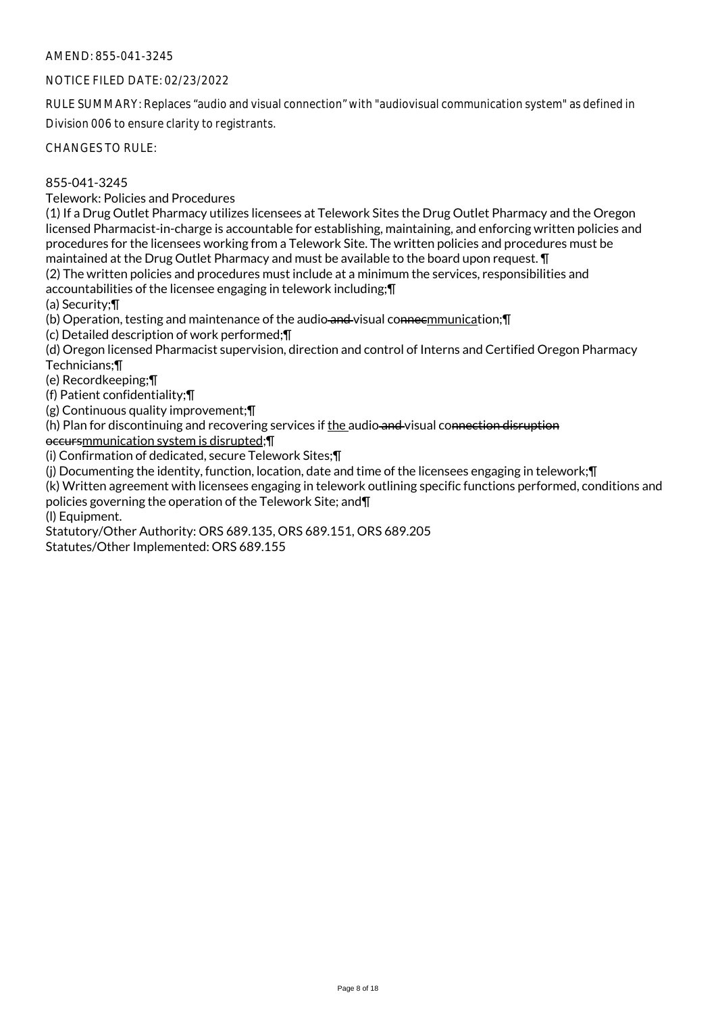## NOTICE FILED DATE: 02/23/2022

RULE SUMMARY: Replaces "audio and visual connection" with "audiovisual communication system" as defined in Division 006 to ensure clarity to registrants.

CHANGES TO RULE:

## 855-041-3245

Telework: Policies and Procedures

(1) If a Drug Outlet Pharmacy utilizes licensees at Telework Sites the Drug Outlet Pharmacy and the Oregon licensed Pharmacist-in-charge is accountable for establishing, maintaining, and enforcing written policies and procedures for the licensees working from a Telework Site. The written policies and procedures must be maintained at the Drug Outlet Pharmacy and must be available to the board upon request. ¶

(2) The written policies and procedures must include at a minimum the services, responsibilities and accountabilities of the licensee engaging in telework including;¶

(a) Security;¶

(b) Operation, testing and maintenance of the audio and visual connecmmunication; \[

(c) Detailed description of work performed;¶

(d) Oregon licensed Pharmacist supervision, direction and control of Interns and Certified Oregon Pharmacy Technicians;¶

(e) Recordkeeping;¶

(f) Patient confidentiality;¶

(g) Continuous quality improvement;¶

(h) Plan for discontinuing and recovering services if the audio and visual connection disruption

occursmmunication system is disrupted;¶

(i) Confirmation of dedicated, secure Telework Sites;¶

(j) Documenting the identity, function, location, date and time of the licensees engaging in telework;¶

(k) Written agreement with licensees engaging in telework outlining specific functions performed, conditions and policies governing the operation of the Telework Site; and¶

(l) Equipment.

Statutory/Other Authority: ORS 689.135, ORS 689.151, ORS 689.205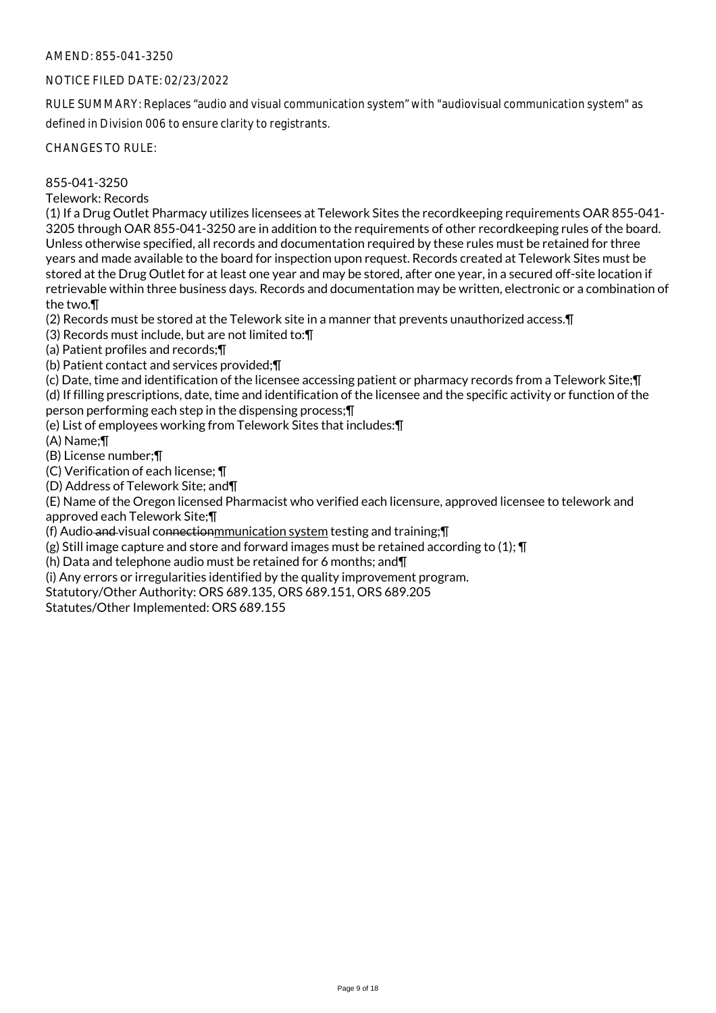## NOTICE FILED DATE: 02/23/2022

RULE SUMMARY: Replaces "audio and visual communication system" with "audiovisual communication system" as defined in Division 006 to ensure clarity to registrants.

CHANGES TO RULE:

## 855-041-3250

Telework: Records

(1) If a Drug Outlet Pharmacy utilizes licensees at Telework Sites the recordkeeping requirements OAR 855-041- 3205 through OAR 855-041-3250 are in addition to the requirements of other recordkeeping rules of the board. Unless otherwise specified, all records and documentation required by these rules must be retained for three years and made available to the board for inspection upon request. Records created at Telework Sites must be stored at the Drug Outlet for at least one year and may be stored, after one year, in a secured off-site location if retrievable within three business days. Records and documentation may be written, electronic or a combination of the two.¶

(2) Records must be stored at the Telework site in a manner that prevents unauthorized access.¶

(3) Records must include, but are not limited to:¶

(a) Patient profiles and records;¶

(b) Patient contact and services provided;¶

(c) Date, time and identification of the licensee accessing patient or pharmacy records from a Telework Site;¶ (d) If filling prescriptions, date, time and identification of the licensee and the specific activity or function of the person performing each step in the dispensing process;¶

(e) List of employees working from Telework Sites that includes:¶

(A) Name;¶

(B) License number;¶

(C) Verification of each license; ¶

(D) Address of Telework Site; and¶

(E) Name of the Oregon licensed Pharmacist who verified each licensure, approved licensee to telework and approved each Telework Site;¶

(f) Audio and visual connectionmmunication system testing and training;¶

(g) Still image capture and store and forward images must be retained according to (1);  $\P$ 

(h) Data and telephone audio must be retained for 6 months; and¶

(i) Any errors or irregularities identified by the quality improvement program.

Statutory/Other Authority: ORS 689.135, ORS 689.151, ORS 689.205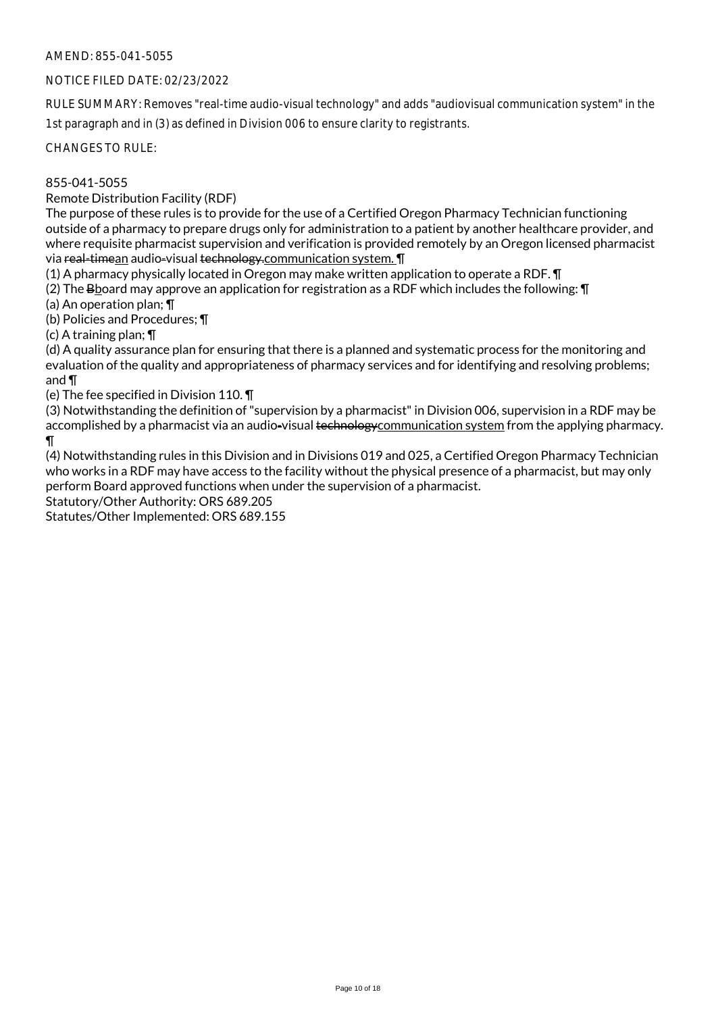## NOTICE FILED DATE: 02/23/2022

RULE SUMMARY: Removes "real-time audio-visual technology" and adds "audiovisual communication system" in the 1st paragraph and in (3) as defined in Division 006 to ensure clarity to registrants.

CHANGES TO RULE:

## 855-041-5055

Remote Distribution Facility (RDF)

The purpose of these rules is to provide for the use of a Certified Oregon Pharmacy Technician functioning outside of a pharmacy to prepare drugs only for administration to a patient by another healthcare provider, and where requisite pharmacist supervision and verification is provided remotely by an Oregon licensed pharmacist via real-timean audio-visual technology.communication system. **T** 

(1) A pharmacy physically located in Oregon may make written application to operate a RDF. ¶

(2) The Bboard may approve an application for registration as a RDF which includes the following: ¶

(a) An operation plan; ¶

(b) Policies and Procedures; ¶

(c) A training plan; ¶

(d) A quality assurance plan for ensuring that there is a planned and systematic process for the monitoring and evaluation of the quality and appropriateness of pharmacy services and for identifying and resolving problems; and ¶

(e) The fee specified in Division 110. ¶

(3) Notwithstanding the definition of "supervision by a pharmacist" in Division 006, supervision in a RDF may be accomplished by a pharmacist via an audio-visual technology communication system from the applying pharmacy. ¶

(4) Notwithstanding rules in this Division and in Divisions 019 and 025, a Certified Oregon Pharmacy Technician who works in a RDF may have access to the facility without the physical presence of a pharmacist, but may only perform Board approved functions when under the supervision of a pharmacist.

Statutory/Other Authority: ORS 689.205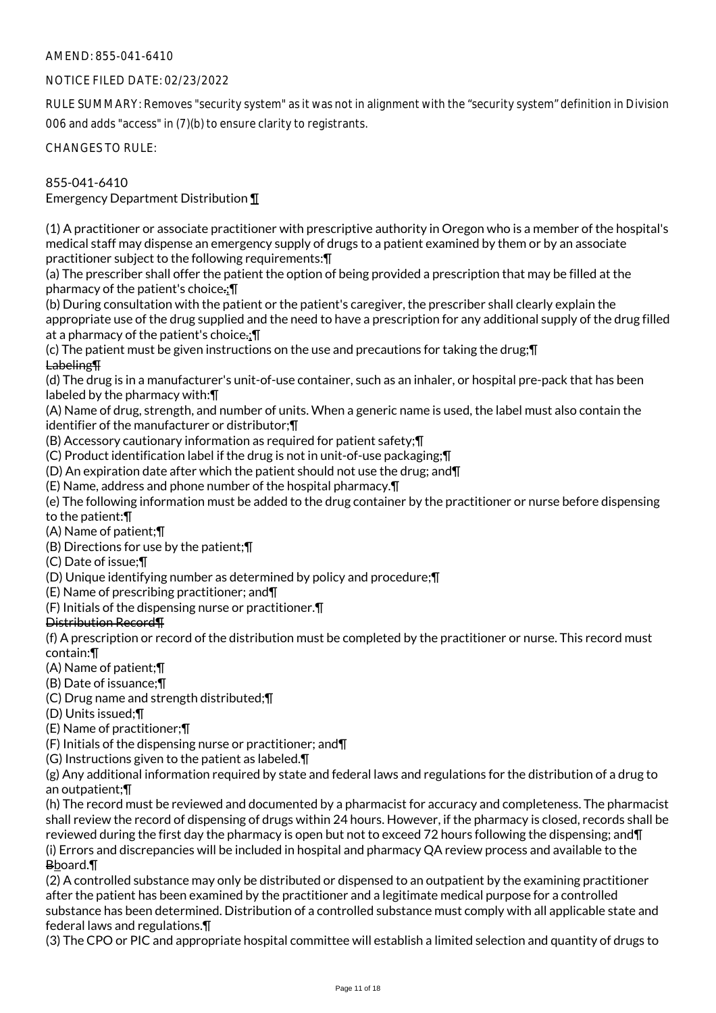## NOTICE FILED DATE: 02/23/2022

RULE SUMMARY: Removes "security system" as it was not in alignment with the "security system" definition in Division 006 and adds "access" in (7)(b) to ensure clarity to registrants.

CHANGES TO RULE:

855-041-6410

Emergency Department Distribution ¶

(1) A practitioner or associate practitioner with prescriptive authority in Oregon who is a member of the hospital's medical staff may dispense an emergency supply of drugs to a patient examined by them or by an associate practitioner subject to the following requirements:¶

(a) The prescriber shall offer the patient the option of being provided a prescription that may be filled at the pharmacy of the patient's choice.;¶

(b) During consultation with the patient or the patient's caregiver, the prescriber shall clearly explain the appropriate use of the drug supplied and the need to have a prescription for any additional supply of the drug filled at a pharmacy of the patient's choice.; I

(c) The patient must be given instructions on the use and precautions for taking the drug;¶ Labeling¶

(d) The drug is in a manufacturer's unit-of-use container, such as an inhaler, or hospital pre-pack that has been labeled by the pharmacy with:¶

(A) Name of drug, strength, and number of units. When a generic name is used, the label must also contain the identifier of the manufacturer or distributor;¶

(B) Accessory cautionary information as required for patient safety;¶

(C) Product identification label if the drug is not in unit-of-use packaging;¶

(D) An expiration date after which the patient should not use the drug; and¶

(E) Name, address and phone number of the hospital pharmacy.¶

(e) The following information must be added to the drug container by the practitioner or nurse before dispensing to the patient:¶

(A) Name of patient;¶

(B) Directions for use by the patient;¶

(C) Date of issue;¶

(D) Unique identifying number as determined by policy and procedure;¶

(E) Name of prescribing practitioner; and¶

(F) Initials of the dispensing nurse or practitioner.¶

#### Distribution Record¶

(f) A prescription or record of the distribution must be completed by the practitioner or nurse. This record must contain:¶

(A) Name of patient;¶

(B) Date of issuance;¶

(C) Drug name and strength distributed;¶

(D) Units issued;¶

(E) Name of practitioner;¶

(F) Initials of the dispensing nurse or practitioner; and¶

(G) Instructions given to the patient as labeled.¶

(g) Any additional information required by state and federal laws and regulations for the distribution of a drug to an outpatient;¶

(h) The record must be reviewed and documented by a pharmacist for accuracy and completeness. The pharmacist shall review the record of dispensing of drugs within 24 hours. However, if the pharmacy is closed, records shall be reviewed during the first day the pharmacy is open but not to exceed 72 hours following the dispensing; and¶ (i) Errors and discrepancies will be included in hospital and pharmacy QA review process and available to the Bboard.¶

(2) A controlled substance may only be distributed or dispensed to an outpatient by the examining practitioner after the patient has been examined by the practitioner and a legitimate medical purpose for a controlled substance has been determined. Distribution of a controlled substance must comply with all applicable state and federal laws and regulations.¶

(3) The CPO or PIC and appropriate hospital committee will establish a limited selection and quantity of drugs to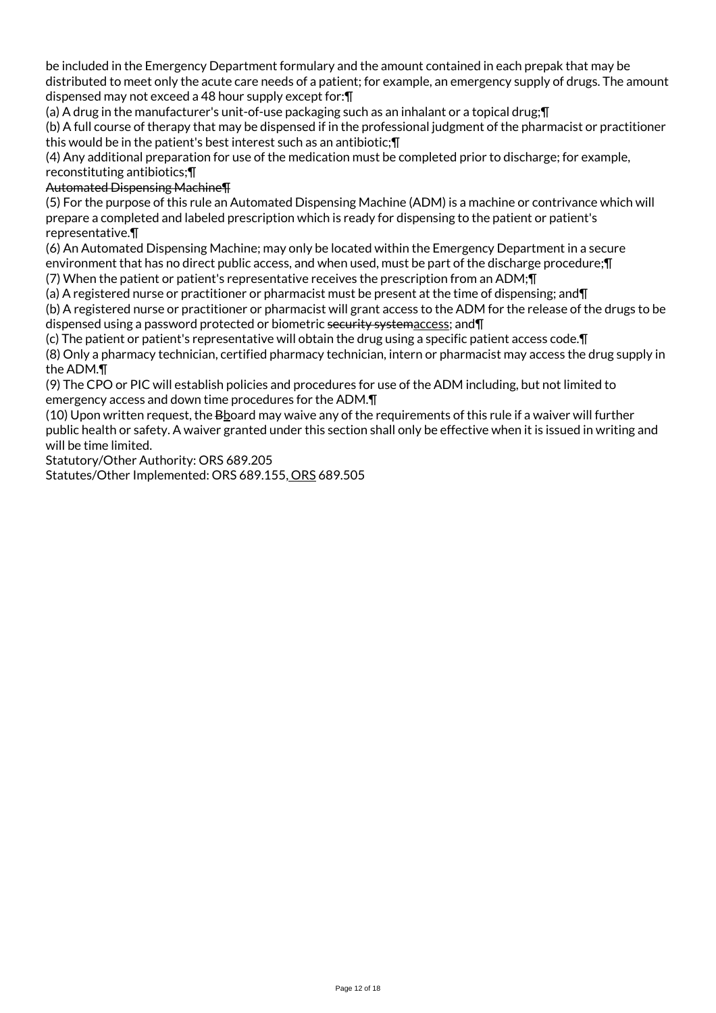be included in the Emergency Department formulary and the amount contained in each prepak that may be distributed to meet only the acute care needs of a patient; for example, an emergency supply of drugs. The amount dispensed may not exceed a 48 hour supply except for:¶

(a) A drug in the manufacturer's unit-of-use packaging such as an inhalant or a topical drug;¶

(b) A full course of therapy that may be dispensed if in the professional judgment of the pharmacist or practitioner this would be in the patient's best interest such as an antibiotic;¶

(4) Any additional preparation for use of the medication must be completed prior to discharge; for example, reconstituting antibiotics;¶

## Automated Dispensing Machine¶

(5) For the purpose of this rule an Automated Dispensing Machine (ADM) is a machine or contrivance which will prepare a completed and labeled prescription which is ready for dispensing to the patient or patient's representative.¶

(6) An Automated Dispensing Machine; may only be located within the Emergency Department in a secure environment that has no direct public access, and when used, must be part of the discharge procedure;¶

(7) When the patient or patient's representative receives the prescription from an ADM;¶

(a) A registered nurse or practitioner or pharmacist must be present at the time of dispensing; and¶ (b) A registered nurse or practitioner or pharmacist will grant access to the ADM for the release of the drugs to be dispensed using a password protected or biometric security systemaccess; and¶

(c) The patient or patient's representative will obtain the drug using a specific patient access code.¶ (8) Only a pharmacy technician, certified pharmacy technician, intern or pharmacist may access the drug supply in the ADM.¶

(9) The CPO or PIC will establish policies and procedures for use of the ADM including, but not limited to emergency access and down time procedures for the ADM.¶

(10) Upon written request, the Bboard may waive any of the requirements of this rule if a waiver will further public health or safety. A waiver granted under this section shall only be effective when it is issued in writing and will be time limited.

Statutory/Other Authority: ORS 689.205

Statutes/Other Implemented: ORS 689.155, ORS 689.505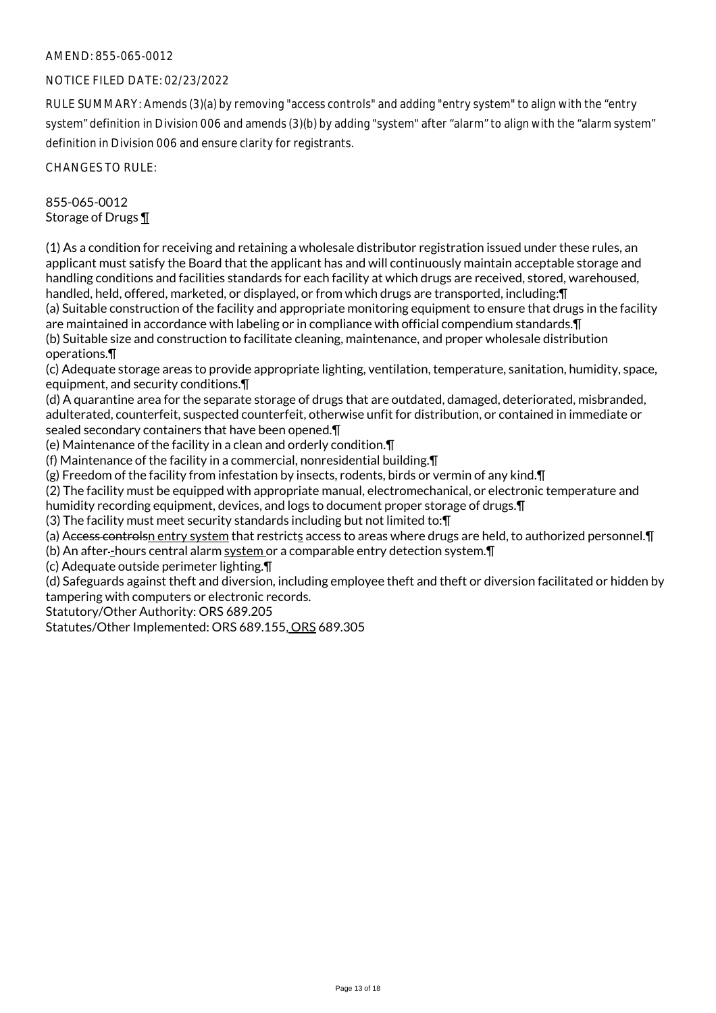## AMEND: 855-065-0012

## NOTICE FILED DATE: 02/23/2022

RULE SUMMARY: Amends (3)(a) by removing "access controls" and adding "entry system" to align with the "entry system" definition in Division 006 and amends (3)(b) by adding "system" after "alarm" to align with the "alarm system" definition in Division 006 and ensure clarity for registrants.

CHANGES TO RULE:

855-065-0012 Storage of Drugs ¶

(1) As a condition for receiving and retaining a wholesale distributor registration issued under these rules, an applicant must satisfy the Board that the applicant has and will continuously maintain acceptable storage and handling conditions and facilities standards for each facility at which drugs are received, stored, warehoused, handled, held, offered, marketed, or displayed, or from which drugs are transported, including:¶ (a) Suitable construction of the facility and appropriate monitoring equipment to ensure that drugs in the facility

are maintained in accordance with labeling or in compliance with official compendium standards.¶ (b) Suitable size and construction to facilitate cleaning, maintenance, and proper wholesale distribution

operations.¶

(c) Adequate storage areas to provide appropriate lighting, ventilation, temperature, sanitation, humidity, space, equipment, and security conditions.¶

(d) A quarantine area for the separate storage of drugs that are outdated, damaged, deteriorated, misbranded, adulterated, counterfeit, suspected counterfeit, otherwise unfit for distribution, or contained in immediate or sealed secondary containers that have been opened.¶

(e) Maintenance of the facility in a clean and orderly condition.¶

(f) Maintenance of the facility in a commercial, nonresidential building.¶

(g) Freedom of the facility from infestation by insects, rodents, birds or vermin of any kind.¶

(2) The facility must be equipped with appropriate manual, electromechanical, or electronic temperature and

humidity recording equipment, devices, and logs to document proper storage of drugs.¶

(3) The facility must meet security standards including but not limited to:¶

(a) Access controlsn entry system that restricts access to areas where drugs are held, to authorized personnel.¶

(b) An after--hours central alarm system or a comparable entry detection system. [1]

(c) Adequate outside perimeter lighting.¶

(d) Safeguards against theft and diversion, including employee theft and theft or diversion facilitated or hidden by tampering with computers or electronic records.

Statutory/Other Authority: ORS 689.205

Statutes/Other Implemented: ORS 689.155, ORS 689.305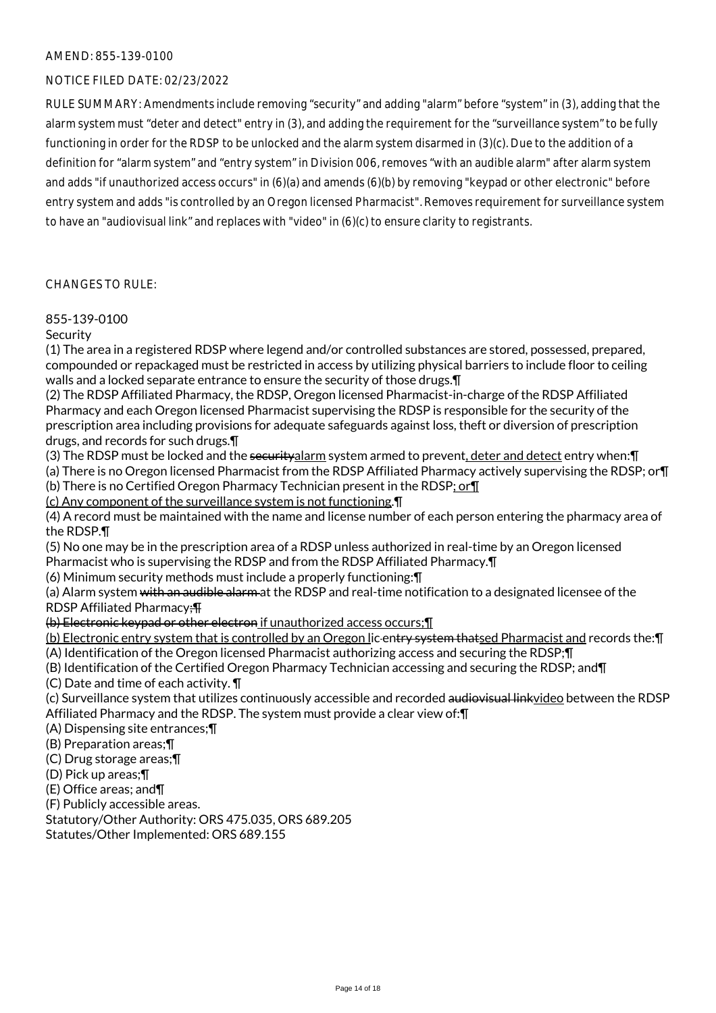## NOTICE FILED DATE: 02/23/2022

RULE SUMMARY: Amendments include removing "security" and adding "alarm" before "system" in (3), adding that the alarm system must "deter and detect" entry in (3), and adding the requirement for the "surveillance system" to be fully functioning in order for the RDSP to be unlocked and the alarm system disarmed in (3)(c). Due to the addition of a definition for "alarm system" and "entry system" in Division 006, removes "with an audible alarm" after alarm system and adds "if unauthorized access occurs" in (6)(a) and amends (6)(b) by removing "keypad or other electronic" before entry system and adds "is controlled by an Oregon licensed Pharmacist". Removes requirement for surveillance system to have an "audiovisual link" and replaces with "video" in (6)(c) to ensure clarity to registrants.

#### CHANGES TO RULE:

## 855-139-0100

## Security

(1) The area in a registered RDSP where legend and/or controlled substances are stored, possessed, prepared, compounded or repackaged must be restricted in access by utilizing physical barriers to include floor to ceiling walls and a locked separate entrance to ensure the security of those drugs.¶

(2) The RDSP Affiliated Pharmacy, the RDSP, Oregon licensed Pharmacist-in-charge of the RDSP Affiliated Pharmacy and each Oregon licensed Pharmacist supervising the RDSP is responsible for the security of the prescription area including provisions for adequate safeguards against loss, theft or diversion of prescription drugs, and records for such drugs.¶

(3) The RDSP must be locked and the securityalarm system armed to prevent, deter and detect entry when:¶ (a) There is no Oregon licensed Pharmacist from the RDSP Affiliated Pharmacy actively supervising the RDSP; or¶ (b) There is no Certified Oregon Pharmacy Technician present in the RDSP; or¶

(c) Any component of the surveillance system is not functioning.¶

(4) A record must be maintained with the name and license number of each person entering the pharmacy area of the RDSP.¶

(5) No one may be in the prescription area of a RDSP unless authorized in real-time by an Oregon licensed Pharmacist who is supervising the RDSP and from the RDSP Affiliated Pharmacy.¶

(6) Minimum security methods must include a properly functioning:¶

(a) Alarm system with an audible alarm at the RDSP and real-time notification to a designated licensee of the RDSP Affiliated Pharmacy;¶

(b) Electronic keypad or other electron if unauthorized access occurs;¶

(b) Electronic entry system that is controlled by an Oregon lic-entry system thatsed Pharmacist and records the: [1] (A) Identification of the Oregon licensed Pharmacist authorizing access and securing the RDSP;¶

(B) Identification of the Certified Oregon Pharmacy Technician accessing and securing the RDSP; and¶

(C) Date and time of each activity. ¶

(c) Surveillance system that utilizes continuously accessible and recorded audiovisual linkvideo between the RDSP Affiliated Pharmacy and the RDSP. The system must provide a clear view of:¶

(A) Dispensing site entrances;¶

(B) Preparation areas;¶

(C) Drug storage areas;¶

(D) Pick up areas;¶

(E) Office areas; and¶

(F) Publicly accessible areas.

Statutory/Other Authority: ORS 475.035, ORS 689.205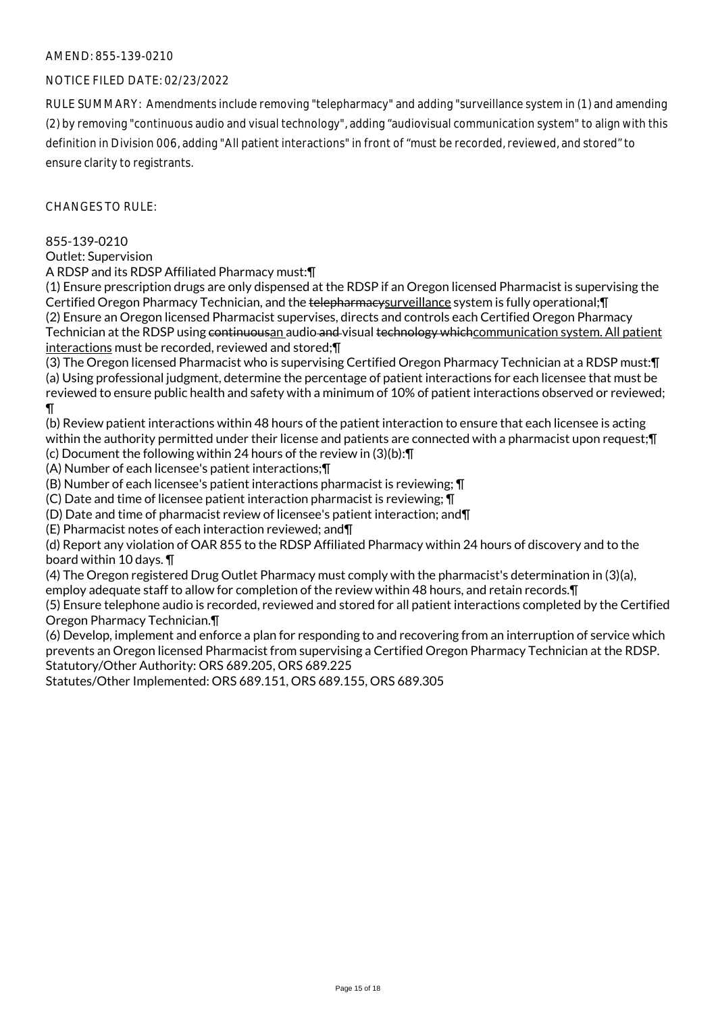## NOTICE FILED DATE: 02/23/2022

RULE SUMMARY: Amendments include removing "telepharmacy" and adding "surveillance system in (1) and amending (2) by removing "continuous audio and visual technology", adding "audiovisual communication system" to align with this definition in Division 006, adding "All patient interactions" in front of "must be recorded, reviewed, and stored" to ensure clarity to registrants.

 $CHANGESTORUIF$ 

#### 855-139-0210

Outlet: Supervision

A RDSP and its RDSP Affiliated Pharmacy must:¶

(1) Ensure prescription drugs are only dispensed at the RDSP if an Oregon licensed Pharmacist is supervising the Certified Oregon Pharmacy Technician, and the telepharmacysurveillance system is fully operational; [[I (2) Ensure an Oregon licensed Pharmacist supervises, directs and controls each Certified Oregon Pharmacy Technician at the RDSP using continuousan audio and visual technology which communication system. All patient interactions must be recorded, reviewed and stored;¶

(3) The Oregon licensed Pharmacist who is supervising Certified Oregon Pharmacy Technician at a RDSP must:¶ (a) Using professional judgment, determine the percentage of patient interactions for each licensee that must be reviewed to ensure public health and safety with a minimum of 10% of patient interactions observed or reviewed; ¶

(b) Review patient interactions within 48 hours of the patient interaction to ensure that each licensee is acting within the authority permitted under their license and patients are connected with a pharmacist upon request;¶

(c) Document the following within 24 hours of the review in (3)(b):¶

(A) Number of each licensee's patient interactions;¶

(B) Number of each licensee's patient interactions pharmacist is reviewing; ¶

(C) Date and time of licensee patient interaction pharmacist is reviewing; ¶

(D) Date and time of pharmacist review of licensee's patient interaction; and¶

(E) Pharmacist notes of each interaction reviewed; and¶

(d) Report any violation of OAR 855 to the RDSP Affiliated Pharmacy within 24 hours of discovery and to the board within 10 days. ¶

(4) The Oregon registered Drug Outlet Pharmacy must comply with the pharmacist's determination in (3)(a),

employ adequate staff to allow for completion of the review within 48 hours, and retain records.¶

(5) Ensure telephone audio is recorded, reviewed and stored for all patient interactions completed by the Certified Oregon Pharmacy Technician.¶

(6) Develop, implement and enforce a plan for responding to and recovering from an interruption of service which prevents an Oregon licensed Pharmacist from supervising a Certified Oregon Pharmacy Technician at the RDSP. Statutory/Other Authority: ORS 689.205, ORS 689.225

Statutes/Other Implemented: ORS 689.151, ORS 689.155, ORS 689.305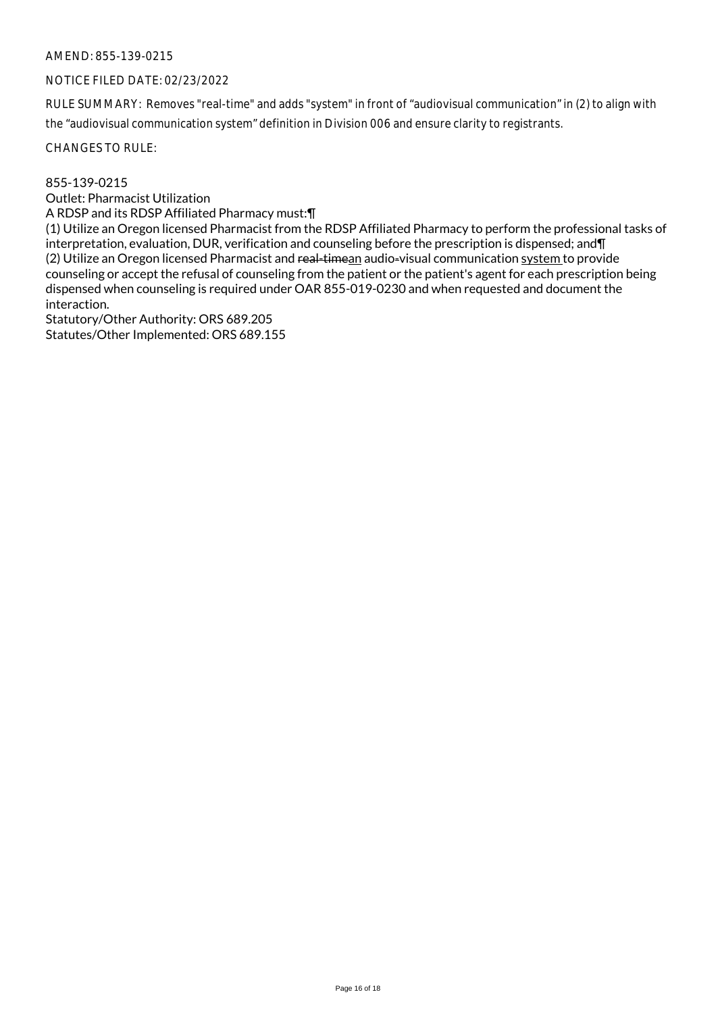#### NOTICE FILED DATE: 02/23/2022

RULE SUMMARY: Removes "real-time" and adds "system" in front of "audiovisual communication" in (2) to align with the "audiovisual communication system" definition in Division 006 and ensure clarity to registrants.

CHANGES TO RULE:

855-139-0215

Outlet: Pharmacist Utilization

A RDSP and its RDSP Affiliated Pharmacy must:¶

(1) Utilize an Oregon licensed Pharmacist from the RDSP Affiliated Pharmacy to perform the professional tasks of interpretation, evaluation, DUR, verification and counseling before the prescription is dispensed; and¶ (2) Utilize an Oregon licensed Pharmacist and real-timean audio-visual communication system to provide counseling or accept the refusal of counseling from the patient or the patient's agent for each prescription being dispensed when counseling is required under OAR 855-019-0230 and when requested and document the interaction.

Statutory/Other Authority: ORS 689.205 Statutes/Other Implemented: ORS 689.155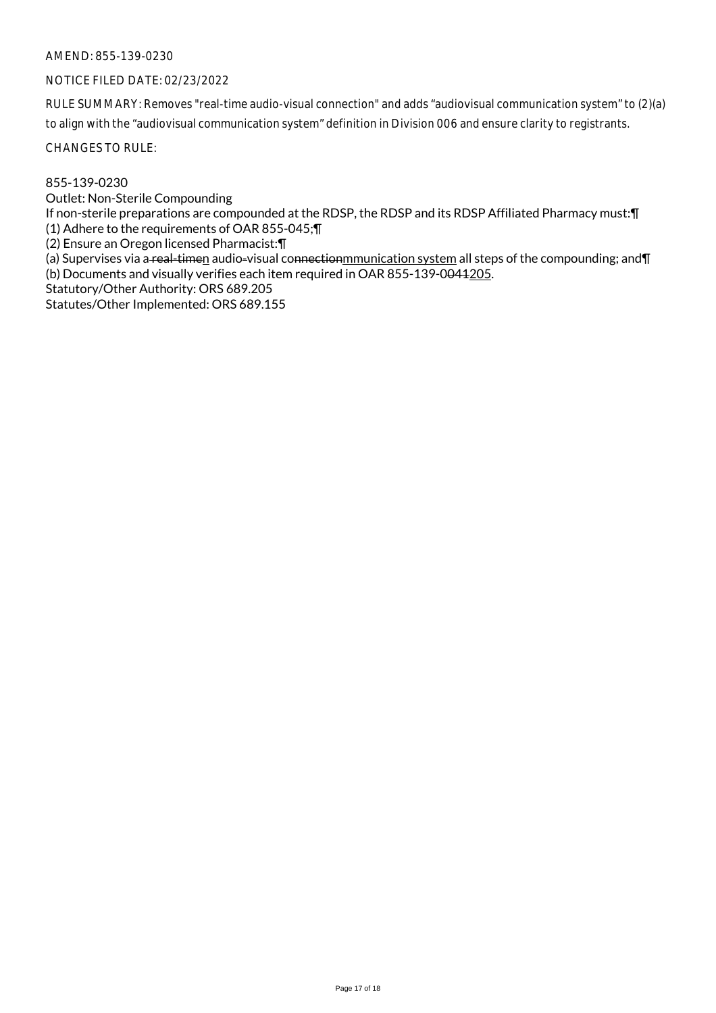## NOTICE FILED DATE: 02/23/2022

RULE SUMMARY: Removes "real-time audio-visual connection" and adds "audiovisual communication system" to (2)(a) to align with the "audiovisual communication system" definition in Division 006 and ensure clarity to registrants.

CHANGES TO RULE:

855-139-0230

Outlet: Non-Sterile Compounding

If non-sterile preparations are compounded at the RDSP, the RDSP and its RDSP Affiliated Pharmacy must:¶ (1) Adhere to the requirements of OAR 855-045;¶

(2) Ensure an Oregon licensed Pharmacist:¶

(a) Supervises via a real-timen audio-visual connectionmmunication system all steps of the compounding; and II (b) Documents and visually verifies each item required in OAR 855-139-0041205.

Statutory/Other Authority: ORS 689.205